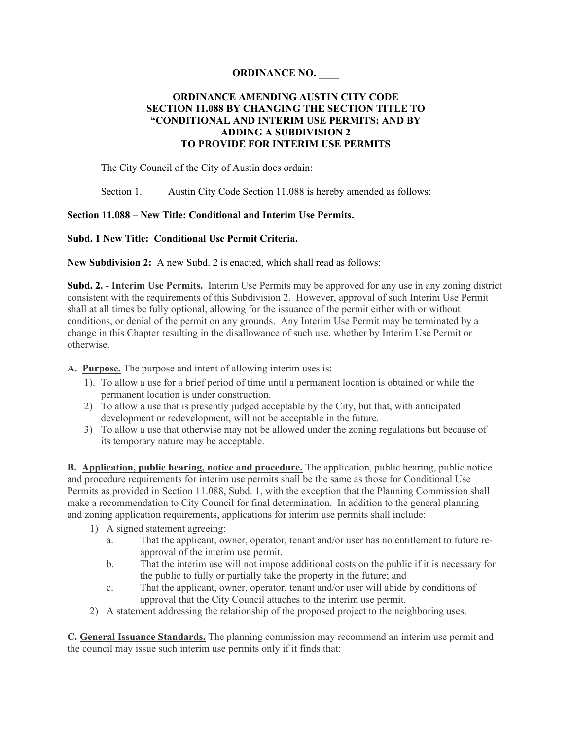## **ORDINANCE NO. \_\_\_\_**

## **ORDINANCE AMENDING AUSTIN CITY CODE SECTION 11.088 BY CHANGING THE SECTION TITLE TO "CONDITIONAL AND INTERIM USE PERMITS; AND BY ADDING A SUBDIVISION 2 TO PROVIDE FOR INTERIM USE PERMITS**

The City Council of the City of Austin does ordain:

Section 1. Austin City Code Section 11.088 is hereby amended as follows:

## **Section 11.088 – New Title: Conditional and Interim Use Permits.**

## **Subd. 1 New Title: Conditional Use Permit Criteria.**

**New Subdivision 2:** A new Subd. 2 is enacted, which shall read as follows:

**Subd. 2. - Interim Use Permits.** Interim Use Permits may be approved for any use in any zoning district consistent with the requirements of this Subdivision 2. However, approval of such Interim Use Permit shall at all times be fully optional, allowing for the issuance of the permit either with or without conditions, or denial of the permit on any grounds. Any Interim Use Permit may be terminated by a change in this Chapter resulting in the disallowance of such use, whether by Interim Use Permit or otherwise.

**A. Purpose.** The purpose and intent of allowing interim uses is:

- 1). To allow a use for a brief period of time until a permanent location is obtained or while the permanent location is under construction.
- 2) To allow a use that is presently judged acceptable by the City, but that, with anticipated development or redevelopment, will not be acceptable in the future.
- 3) To allow a use that otherwise may not be allowed under the zoning regulations but because of its temporary nature may be acceptable.

**B. Application, public hearing, notice and procedure.** The application, public hearing, public notice and procedure requirements for interim use permits shall be the same as those for Conditional Use Permits as provided in Section 11.088, Subd. 1, with the exception that the Planning Commission shall make a recommendation to City Council for final determination. In addition to the general planning and zoning application requirements, applications for interim use permits shall include:

- 1) A signed statement agreeing:
	- a. That the applicant, owner, operator, tenant and/or user has no entitlement to future reapproval of the interim use permit.
	- b. That the interim use will not impose additional costs on the public if it is necessary for the public to fully or partially take the property in the future; and
	- c. That the applicant, owner, operator, tenant and/or user will abide by conditions of approval that the City Council attaches to the interim use permit.
- 2) A statement addressing the relationship of the proposed project to the neighboring uses.

**C. General Issuance Standards.** The planning commission may recommend an interim use permit and the council may issue such interim use permits only if it finds that: